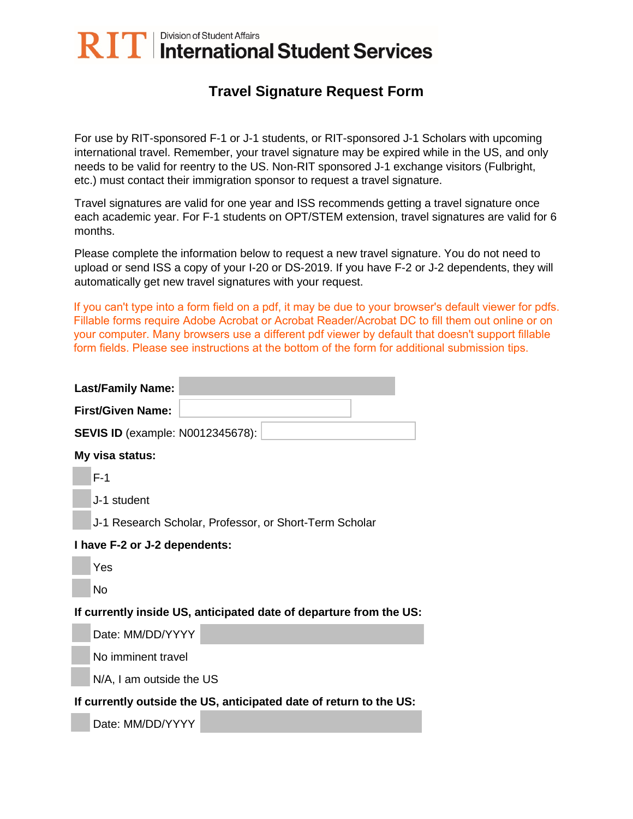## RIT | Division of Student Affairs<br>RIT | International Student Services

## **Travel Signature Request Form**

For use by RIT-sponsored F-1 or J-1 students, or RIT-sponsored J-1 Scholars with upcoming international travel. Remember, your travel signature may be expired while in the US, and only needs to be valid for reentry to the US. Non-RIT sponsored J-1 exchange visitors (Fulbright, etc.) must contact their immigration sponsor to request a travel signature.

Travel signatures are valid for one year and ISS recommends getting a travel signature once each academic year. For F-1 students on OPT/STEM extension, travel signatures are valid for 6 months.

Please complete the information below to request a new travel signature. You do not need to upload or send ISS a copy of your I-20 or DS-2019. If you have F-2 or J-2 dependents, they will automatically get new travel signatures with your request.

If you can't type into a form field on a pdf, it may be due to your browser's default viewer for pdfs. Fillable forms require Adobe Acrobat or Acrobat Reader/Acrobat DC to fill them out online or on your computer. Many browsers use a different pdf viewer by default that doesn't support fillable form fields. Please see instructions at the bottom of the form for additional submission tips.

| <b>Last/Family Name:</b>                                           |
|--------------------------------------------------------------------|
| <b>First/Given Name:</b>                                           |
| <b>SEVIS ID (example: N0012345678):</b>                            |
| My visa status:                                                    |
| $F-1$                                                              |
| J-1 student                                                        |
| J-1 Research Scholar, Professor, or Short-Term Scholar             |
| I have F-2 or J-2 dependents:                                      |
| Yes                                                                |
| <b>No</b>                                                          |
| If currently inside US, anticipated date of departure from the US: |
| Date: MM/DD/YYYY                                                   |
| No imminent travel                                                 |
| N/A, I am outside the US                                           |
| If currently outside the US, anticipated date of return to the US: |
| Date: MM/DD/YYYY                                                   |